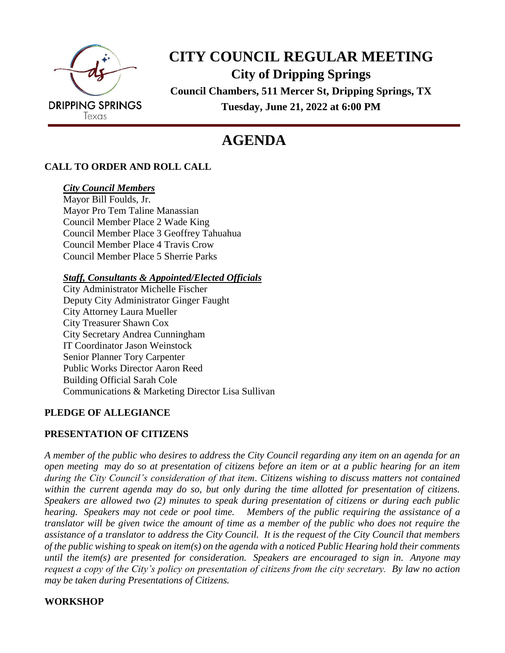

## **CITY COUNCIL REGULAR MEETING City of Dripping Springs Council Chambers, 511 Mercer St, Dripping Springs, TX Tuesday, June 21, 2022 at 6:00 PM**

# **AGENDA**

## **CALL TO ORDER AND ROLL CALL**

#### *City Council Members*

Mayor Bill Foulds, Jr. Mayor Pro Tem Taline Manassian Council Member Place 2 Wade King Council Member Place 3 Geoffrey Tahuahua Council Member Place 4 Travis Crow Council Member Place 5 Sherrie Parks

*Staff, Consultants & Appointed/Elected Officials*

City Administrator Michelle Fischer Deputy City Administrator Ginger Faught City Attorney Laura Mueller City Treasurer Shawn Cox City Secretary Andrea Cunningham IT Coordinator Jason Weinstock Senior Planner Tory Carpenter Public Works Director Aaron Reed Building Official Sarah Cole Communications & Marketing Director Lisa Sullivan

## **PLEDGE OF ALLEGIANCE**

#### **PRESENTATION OF CITIZENS**

*A member of the public who desires to address the City Council regarding any item on an agenda for an open meeting may do so at presentation of citizens before an item or at a public hearing for an item during the City Council's consideration of that item. Citizens wishing to discuss matters not contained within the current agenda may do so, but only during the time allotted for presentation of citizens. Speakers are allowed two (2) minutes to speak during presentation of citizens or during each public hearing. Speakers may not cede or pool time. Members of the public requiring the assistance of a translator will be given twice the amount of time as a member of the public who does not require the assistance of a translator to address the City Council. It is the request of the City Council that members of the public wishing to speak on item(s) on the agenda with a noticed Public Hearing hold their comments until the item(s) are presented for consideration. Speakers are encouraged to sign in. Anyone may request a copy of the City's policy on presentation of citizens from the city secretary. By law no action may be taken during Presentations of Citizens.*

## **WORKSHOP**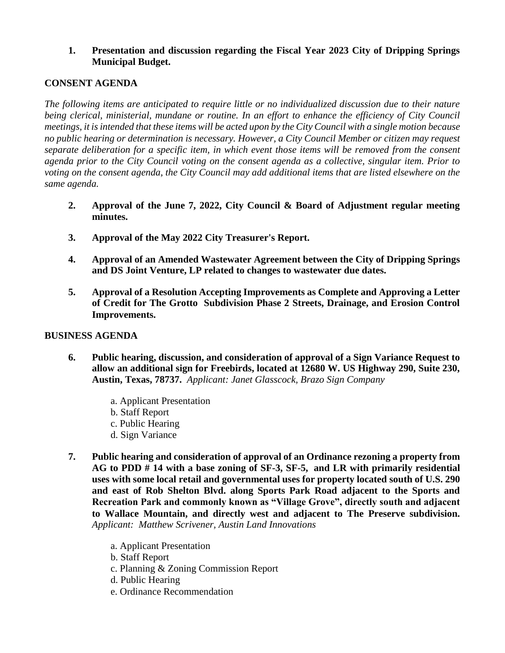#### **1. Presentation and discussion regarding the Fiscal Year 2023 City of Dripping Springs Municipal Budget.**

#### **CONSENT AGENDA**

*The following items are anticipated to require little or no individualized discussion due to their nature being clerical, ministerial, mundane or routine. In an effort to enhance the efficiency of City Council meetings, it is intended that these items will be acted upon by the City Council with a single motion because no public hearing or determination is necessary. However, a City Council Member or citizen may request separate deliberation for a specific item, in which event those items will be removed from the consent agenda prior to the City Council voting on the consent agenda as a collective, singular item. Prior to voting on the consent agenda, the City Council may add additional items that are listed elsewhere on the same agenda.*

- **2. Approval of the June 7, 2022, City Council & Board of Adjustment regular meeting minutes.**
- **3. Approval of the May 2022 City Treasurer's Report.**
- **4. Approval of an Amended Wastewater Agreement between the City of Dripping Springs and DS Joint Venture, LP related to changes to wastewater due dates.**
- **5. Approval of a Resolution Accepting Improvements as Complete and Approving a Letter of Credit for The Grotto Subdivision Phase 2 Streets, Drainage, and Erosion Control Improvements.**

#### **BUSINESS AGENDA**

- **6. Public hearing, discussion, and consideration of approval of a Sign Variance Request to allow an additional sign for Freebirds, located at 12680 W. US Highway 290, Suite 230, Austin, Texas, 78737.** *Applicant: Janet Glasscock, Brazo Sign Company*
	- a. Applicant Presentation
	- b. Staff Report
	- c. Public Hearing
	- d. Sign Variance
- **7. Public hearing and consideration of approval of an Ordinance rezoning a property from AG to PDD # 14 with a base zoning of SF-3, SF-5, and LR with primarily residential uses with some local retail and governmental uses for property located south of U.S. 290 and east of Rob Shelton Blvd. along Sports Park Road adjacent to the Sports and Recreation Park and commonly known as "Village Grove", directly south and adjacent to Wallace Mountain, and directly west and adjacent to The Preserve subdivision.**  *Applicant: Matthew Scrivener, Austin Land Innovations*
	- a. Applicant Presentation
	- b. Staff Report
	- c. Planning & Zoning Commission Report
	- d. Public Hearing
	- e. Ordinance Recommendation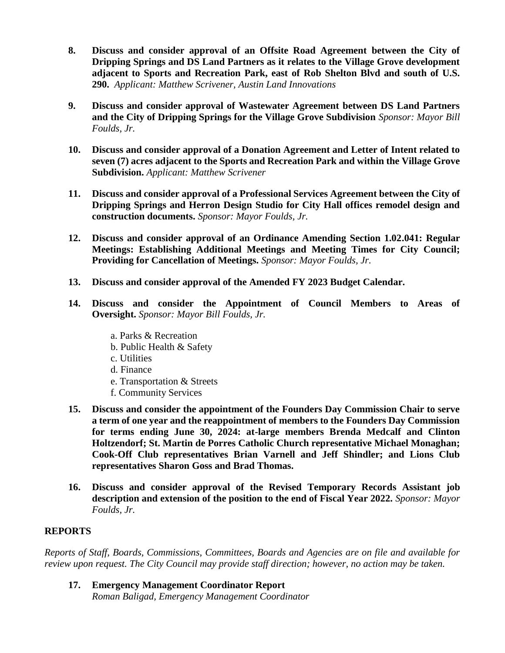- **8. Discuss and consider approval of an Offsite Road Agreement between the City of Dripping Springs and DS Land Partners as it relates to the Village Grove development adjacent to Sports and Recreation Park, east of Rob Shelton Blvd and south of U.S. 290.** *Applicant: Matthew Scrivener, Austin Land Innovations*
- **9. Discuss and consider approval of Wastewater Agreement between DS Land Partners and the City of Dripping Springs for the Village Grove Subdivision** *Sponsor: Mayor Bill Foulds, Jr.*
- **10. Discuss and consider approval of a Donation Agreement and Letter of Intent related to seven (7) acres adjacent to the Sports and Recreation Park and within the Village Grove Subdivision.** *Applicant: Matthew Scrivener*
- **11. Discuss and consider approval of a Professional Services Agreement between the City of Dripping Springs and Herron Design Studio for City Hall offices remodel design and construction documents.** *Sponsor: Mayor Foulds, Jr.*
- **12. Discuss and consider approval of an Ordinance Amending Section 1.02.041: Regular Meetings: Establishing Additional Meetings and Meeting Times for City Council; Providing for Cancellation of Meetings.** *Sponsor: Mayor Foulds, Jr.*
- **13. Discuss and consider approval of the Amended FY 2023 Budget Calendar.**
- **14. Discuss and consider the Appointment of Council Members to Areas of Oversight.** *Sponsor: Mayor Bill Foulds, Jr.*
	- a. Parks & Recreation
	- b. Public Health & Safety
	- c. Utilities
	- d. Finance
	- e. Transportation & Streets
	- f. Community Services
- **15. Discuss and consider the appointment of the Founders Day Commission Chair to serve a term of one year and the reappointment of members to the Founders Day Commission for terms ending June 30, 2024: at-large members Brenda Medcalf and Clinton Holtzendorf; St. Martin de Porres Catholic Church representative Michael Monaghan; Cook-Off Club representatives Brian Varnell and Jeff Shindler; and Lions Club representatives Sharon Goss and Brad Thomas.**
- **16. Discuss and consider approval of the Revised Temporary Records Assistant job description and extension of the position to the end of Fiscal Year 2022.** *Sponsor: Mayor Foulds, Jr.*

## **REPORTS**

*Reports of Staff, Boards, Commissions, Committees, Boards and Agencies are on file and available for review upon request. The City Council may provide staff direction; however, no action may be taken.*

**17. Emergency Management Coordinator Report** *Roman Baligad, Emergency Management Coordinator*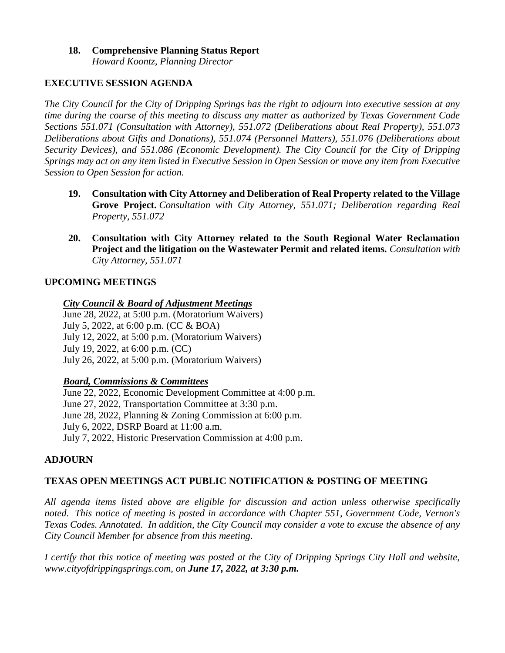#### **18. Comprehensive Planning Status Report** *Howard Koontz, Planning Director*

#### **EXECUTIVE SESSION AGENDA**

*The City Council for the City of Dripping Springs has the right to adjourn into executive session at any time during the course of this meeting to discuss any matter as authorized by Texas Government Code Sections 551.071 (Consultation with Attorney), 551.072 (Deliberations about Real Property), 551.073 Deliberations about Gifts and Donations), 551.074 (Personnel Matters), 551.076 (Deliberations about Security Devices), and 551.086 (Economic Development). The City Council for the City of Dripping Springs may act on any item listed in Executive Session in Open Session or move any item from Executive Session to Open Session for action.*

- **19. Consultation with City Attorney and Deliberation of Real Property related to the Village Grove Project.** *Consultation with City Attorney, 551.071; Deliberation regarding Real Property, 551.072*
- **20. Consultation with City Attorney related to the South Regional Water Reclamation Project and the litigation on the Wastewater Permit and related items.** *Consultation with City Attorney, 551.071*

#### **UPCOMING MEETINGS**

#### *City Council & Board of Adjustment Meetings*

June 28, 2022, at 5:00 p.m. (Moratorium Waivers) July 5, 2022, at 6:00 p.m. (CC & BOA) July 12, 2022, at 5:00 p.m. (Moratorium Waivers) July 19, 2022, at 6:00 p.m. (CC) July 26, 2022, at 5:00 p.m. (Moratorium Waivers)

#### *Board, Commissions & Committees*

June 22, 2022, Economic Development Committee at 4:00 p.m. June 27, 2022, Transportation Committee at 3:30 p.m. June 28, 2022, Planning & Zoning Commission at 6:00 p.m. July 6, 2022, DSRP Board at 11:00 a.m. July 7, 2022, Historic Preservation Commission at 4:00 p.m.

## **ADJOURN**

## **TEXAS OPEN MEETINGS ACT PUBLIC NOTIFICATION & POSTING OF MEETING**

*All agenda items listed above are eligible for discussion and action unless otherwise specifically noted. This notice of meeting is posted in accordance with Chapter 551, Government Code, Vernon's Texas Codes. Annotated. In addition, the City Council may consider a vote to excuse the absence of any City Council Member for absence from this meeting.*

*I certify that this notice of meeting was posted at the City of Dripping Springs City Hall and website, www.cityofdrippingsprings.com, on June 17, 2022, at 3:30 p.m.*